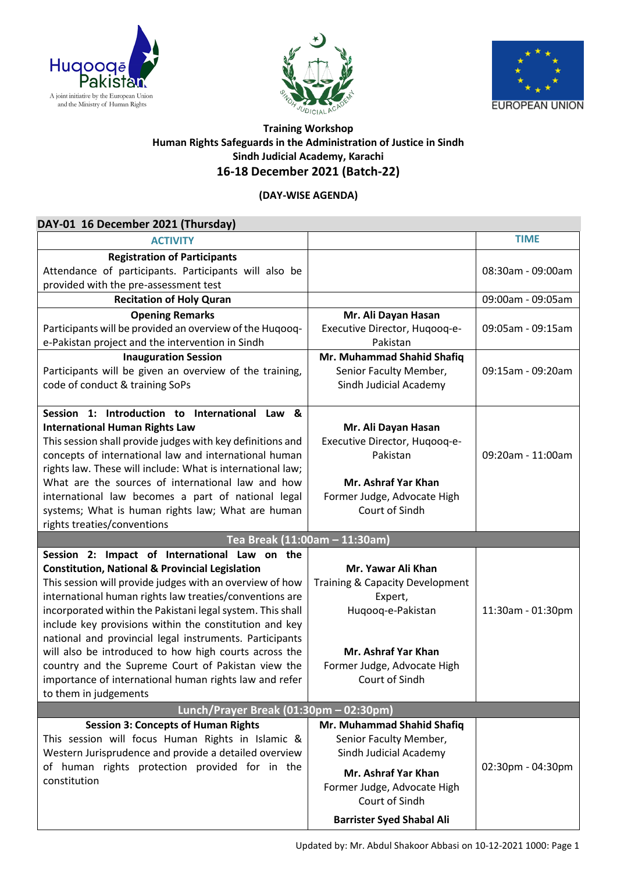





## **Training Workshop Human Rights Safeguards in the Administration of Justice in Sindh Sindh Judicial Academy, Karachi 16-18 December 2021 (Batch-22)**

## **(DAY-WISE AGENDA)**

| DAY-01 16 December 2021 (Thursday)                         |                                  |                   |
|------------------------------------------------------------|----------------------------------|-------------------|
| <b>ACTIVITY</b>                                            |                                  | <b>TIME</b>       |
| <b>Registration of Participants</b>                        |                                  |                   |
| Attendance of participants. Participants will also be      |                                  | 08:30am - 09:00am |
| provided with the pre-assessment test                      |                                  |                   |
| <b>Recitation of Holy Quran</b>                            |                                  | 09:00am - 09:05am |
| <b>Opening Remarks</b>                                     | Mr. Ali Dayan Hasan              |                   |
| Participants will be provided an overview of the Huqooq-   | Executive Director, Huqooq-e-    | 09:05am - 09:15am |
| e-Pakistan project and the intervention in Sindh           | Pakistan                         |                   |
| <b>Inauguration Session</b>                                | Mr. Muhammad Shahid Shafiq       |                   |
| Participants will be given an overview of the training,    | Senior Faculty Member,           | 09:15am - 09:20am |
| code of conduct & training SoPs                            | Sindh Judicial Academy           |                   |
| Session 1: Introduction to International Law &             |                                  |                   |
| <b>International Human Rights Law</b>                      | Mr. Ali Dayan Hasan              |                   |
| This session shall provide judges with key definitions and | Executive Director, Hugoog-e-    |                   |
| concepts of international law and international human      | Pakistan                         | 09:20am - 11:00am |
| rights law. These will include: What is international law; |                                  |                   |
| What are the sources of international law and how          | Mr. Ashraf Yar Khan              |                   |
| international law becomes a part of national legal         | Former Judge, Advocate High      |                   |
| systems; What is human rights law; What are human          | Court of Sindh                   |                   |
| rights treaties/conventions                                |                                  |                   |
|                                                            | Tea Break (11:00am - 11:30am)    |                   |
| Session 2: Impact of International Law on the              |                                  |                   |
| <b>Constitution, National &amp; Provincial Legislation</b> | Mr. Yawar Ali Khan               |                   |
| This session will provide judges with an overview of how   | Training & Capacity Development  |                   |
| international human rights law treaties/conventions are    | Expert,                          |                   |
| incorporated within the Pakistani legal system. This shall | Huqooq-e-Pakistan                | 11:30am - 01:30pm |
| include key provisions within the constitution and key     |                                  |                   |
| national and provincial legal instruments. Participants    |                                  |                   |
| will also be introduced to how high courts across the      | Mr. Ashraf Yar Khan              |                   |
| country and the Supreme Court of Pakistan view the         | Former Judge, Advocate High      |                   |
| importance of international human rights law and refer     | Court of Sindh                   |                   |
| to them in judgements                                      |                                  |                   |
| Lunch/Prayer Break (01:30pm - 02:30pm)                     |                                  |                   |
| <b>Session 3: Concepts of Human Rights</b>                 | Mr. Muhammad Shahid Shafiq       |                   |
| This session will focus Human Rights in Islamic &          | Senior Faculty Member,           |                   |
| Western Jurisprudence and provide a detailed overview      | Sindh Judicial Academy           |                   |
| of human rights protection provided for in the             | Mr. Ashraf Yar Khan              | 02:30pm - 04:30pm |
| constitution                                               | Former Judge, Advocate High      |                   |
|                                                            | Court of Sindh                   |                   |
|                                                            | <b>Barrister Syed Shabal Ali</b> |                   |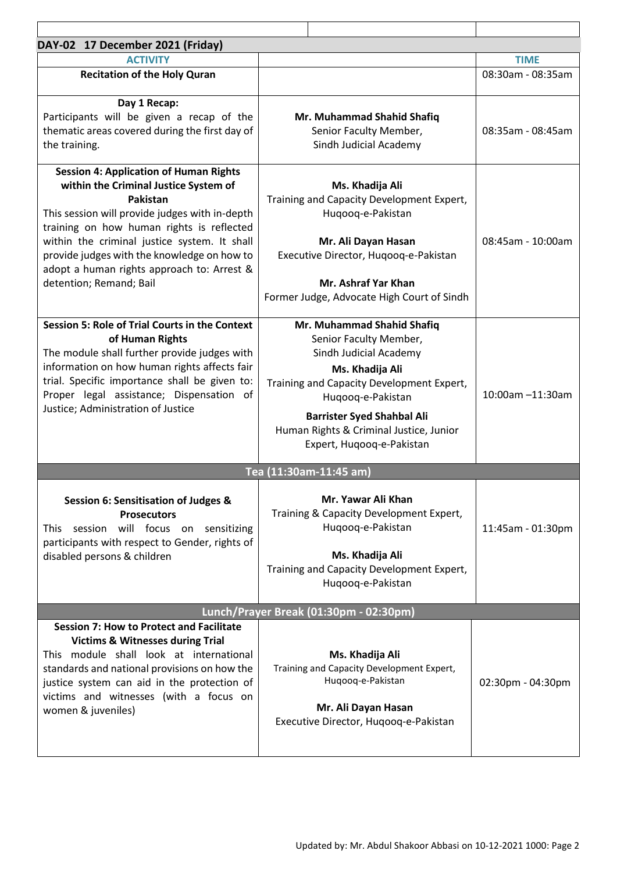| DAY-02 17 December 2021 (Friday)                                                                                                                                                                                                                                                                                                                                                 |                                                                                                                                                                                                                                                                                  |                   |  |  |
|----------------------------------------------------------------------------------------------------------------------------------------------------------------------------------------------------------------------------------------------------------------------------------------------------------------------------------------------------------------------------------|----------------------------------------------------------------------------------------------------------------------------------------------------------------------------------------------------------------------------------------------------------------------------------|-------------------|--|--|
| <b>ACTIVITY</b>                                                                                                                                                                                                                                                                                                                                                                  |                                                                                                                                                                                                                                                                                  | <b>TIME</b>       |  |  |
| <b>Recitation of the Holy Quran</b>                                                                                                                                                                                                                                                                                                                                              |                                                                                                                                                                                                                                                                                  | 08:30am - 08:35am |  |  |
| Day 1 Recap:<br>Participants will be given a recap of the<br>thematic areas covered during the first day of<br>the training.                                                                                                                                                                                                                                                     | Mr. Muhammad Shahid Shafiq<br>Senior Faculty Member,<br>Sindh Judicial Academy                                                                                                                                                                                                   | 08:35am - 08:45am |  |  |
| <b>Session 4: Application of Human Rights</b><br>within the Criminal Justice System of<br><b>Pakistan</b><br>This session will provide judges with in-depth<br>training on how human rights is reflected<br>within the criminal justice system. It shall<br>provide judges with the knowledge on how to<br>adopt a human rights approach to: Arrest &<br>detention; Remand; Bail | Ms. Khadija Ali<br>Training and Capacity Development Expert,<br>Huqooq-e-Pakistan<br>Mr. Ali Dayan Hasan<br>Executive Director, Hugoog-e-Pakistan<br>Mr. Ashraf Yar Khan<br>Former Judge, Advocate High Court of Sindh                                                           | 08:45am - 10:00am |  |  |
| <b>Session 5: Role of Trial Courts in the Context</b><br>of Human Rights<br>The module shall further provide judges with<br>information on how human rights affects fair<br>trial. Specific importance shall be given to:<br>Proper legal assistance; Dispensation of<br>Justice; Administration of Justice                                                                      | Mr. Muhammad Shahid Shafiq<br>Senior Faculty Member,<br>Sindh Judicial Academy<br>Ms. Khadija Ali<br>Training and Capacity Development Expert,<br>Huqooq-e-Pakistan<br><b>Barrister Syed Shahbal Ali</b><br>Human Rights & Criminal Justice, Junior<br>Expert, Huqooq-e-Pakistan | 10:00am -11:30am  |  |  |
| Tea (11:30am-11:45 am)                                                                                                                                                                                                                                                                                                                                                           |                                                                                                                                                                                                                                                                                  |                   |  |  |
| Session 6: Sensitisation of Judges &<br><b>Prosecutors</b><br>This session will focus on sensitizing<br>participants with respect to Gender, rights of<br>disabled persons & children                                                                                                                                                                                            | Mr. Yawar Ali Khan<br>Training & Capacity Development Expert,<br>Huqooq-e-Pakistan<br>Ms. Khadija Ali<br>Training and Capacity Development Expert,<br>Huqooq-e-Pakistan                                                                                                          | 11:45am - 01:30pm |  |  |
| Lunch/Prayer Break (01:30pm - 02:30pm)                                                                                                                                                                                                                                                                                                                                           |                                                                                                                                                                                                                                                                                  |                   |  |  |
| <b>Session 7: How to Protect and Facilitate</b><br><b>Victims &amp; Witnesses during Trial</b><br>This module shall look at international<br>standards and national provisions on how the<br>justice system can aid in the protection of<br>victims and witnesses (with a focus on<br>women & juveniles)                                                                         | Ms. Khadija Ali<br>Training and Capacity Development Expert,<br>Huqooq-e-Pakistan<br>Mr. Ali Dayan Hasan<br>Executive Director, Huqooq-e-Pakistan                                                                                                                                | 02:30pm - 04:30pm |  |  |